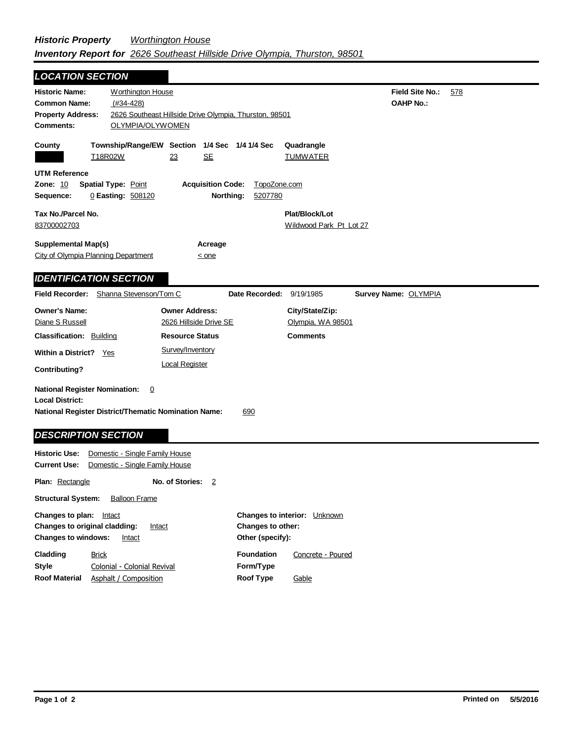| <b>LOCATION SECTION</b>                                                                                                                                                                                               |                                                                  |                                                 |                                                  |                                           |                                            |     |
|-----------------------------------------------------------------------------------------------------------------------------------------------------------------------------------------------------------------------|------------------------------------------------------------------|-------------------------------------------------|--------------------------------------------------|-------------------------------------------|--------------------------------------------|-----|
| <b>Historic Name:</b><br><b>Worthington House</b><br>$(#34-428)$<br><b>Common Name:</b><br>2626 Southeast Hillside Drive Olympia, Thurston, 98501<br><b>Property Address:</b><br><b>Comments:</b><br>OLYMPIA/OLYWOMEN |                                                                  |                                                 |                                                  |                                           | <b>Field Site No.:</b><br><b>OAHP No.:</b> | 578 |
| County                                                                                                                                                                                                                | T18R02W                                                          | <u>SE</u><br>23                                 | Township/Range/EW Section 1/4 Sec 1/4 1/4 Sec    | Quadrangle<br><b>TUMWATER</b>             |                                            |     |
| <b>UTM Reference</b><br><b>Zone: 10</b><br>Sequence:                                                                                                                                                                  | <b>Spatial Type: Point</b><br>0 Easting: 508120                  |                                                 | <b>Acquisition Code:</b><br>Northing:<br>5207780 | TopoZone.com                              |                                            |     |
| Tax No./Parcel No.<br>83700002703                                                                                                                                                                                     |                                                                  |                                                 |                                                  | Plat/Block/Lot<br>Wildwood Park Pt Lot 27 |                                            |     |
| <b>Supplemental Map(s)</b><br>City of Olympia Planning Department                                                                                                                                                     |                                                                  | $\leq$ one                                      | Acreage                                          |                                           |                                            |     |
| <b>IDENTIFICATION SECTION</b>                                                                                                                                                                                         |                                                                  |                                                 |                                                  |                                           |                                            |     |
| <b>Field Recorder:</b> Shanna Stevenson/Tom C                                                                                                                                                                         |                                                                  |                                                 | Date Recorded:                                   | 9/19/1985                                 | Survey Name: OLYMPIA                       |     |
| <b>Owner's Name:</b><br>Diane S Russell                                                                                                                                                                               |                                                                  | <b>Owner Address:</b><br>2626 Hillside Drive SE |                                                  | City/State/Zip:<br>Olympia, WA 98501      |                                            |     |
| <b>Classification: Building</b>                                                                                                                                                                                       |                                                                  | <b>Resource Status</b>                          |                                                  | <b>Comments</b>                           |                                            |     |
| Within a District? Yes<br>Contributing?                                                                                                                                                                               |                                                                  | Survey/Inventory<br><b>Local Register</b>       |                                                  |                                           |                                            |     |
| <b>National Register Nomination:</b><br><b>Local District:</b><br><b>National Register District/Thematic Nomination Name:</b><br><b>DESCRIPTION SECTION</b>                                                           | 0                                                                |                                                 | 690                                              |                                           |                                            |     |
| <b>Historic Use:</b><br><b>Current Use:</b>                                                                                                                                                                           | Domestic - Single Family House<br>Domestic - Single Family House |                                                 |                                                  |                                           |                                            |     |
| Plan: Rectangle                                                                                                                                                                                                       |                                                                  | No. of Stories:                                 | $\overline{2}$                                   |                                           |                                            |     |
| <b>Structural System:</b>                                                                                                                                                                                             | <b>Balloon Frame</b>                                             |                                                 |                                                  |                                           |                                            |     |
| Changes to plan:<br><b>Changes to interior:</b> Unknown<br>Intact                                                                                                                                                     |                                                                  |                                                 |                                                  |                                           |                                            |     |

| <b>Changes to windows:</b> | <b>Changes to original cladding:</b><br>Intact<br>Intact | Changes to other:<br>Other (specify): |                   |  |
|----------------------------|----------------------------------------------------------|---------------------------------------|-------------------|--|
| Cladding                   | <b>Brick</b>                                             | <b>Foundation</b>                     | Concrete - Poured |  |
| Style                      | Colonial - Colonial Revival                              | Form/Type                             |                   |  |
| <b>Roof Material</b>       | Asphalt / Composition                                    | Roof Type                             | Gable             |  |
|                            |                                                          |                                       |                   |  |